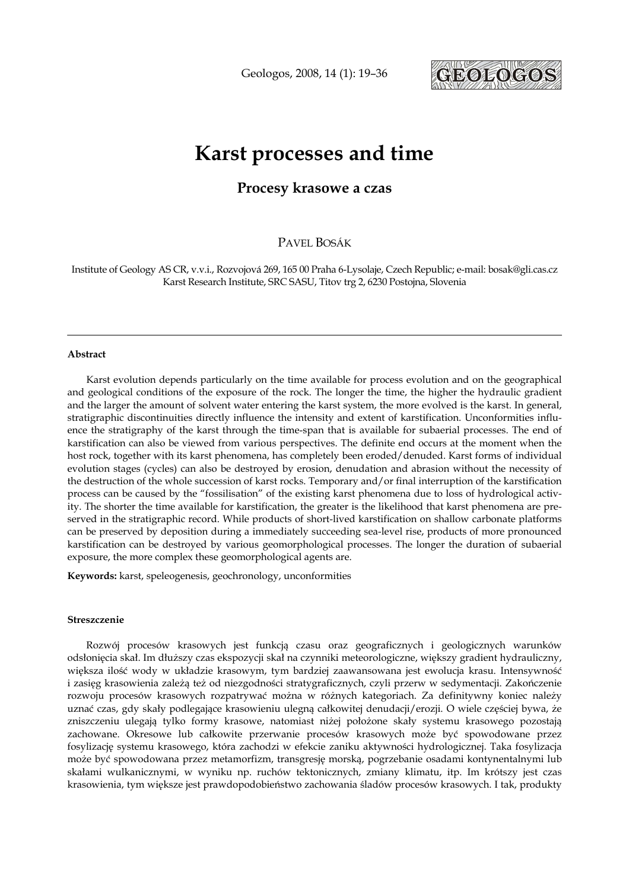Geologos, 2008, 14 (1): 19–36



# Karst processes and time

# Procesy krasowe a czas

PAVEL BOSÁK

Institute of Geology AS CR, v.v.i., Rozvojová 269, 165 00 Praha 6-Lysolaje, Czech Republic; e-mail: bosak@gli.cas.cz Karst Research Institute, SRC SASU, Titov trg 2, 6230 Postojna, Slovenia

#### Abstract

Karst evolution depends particularly on the time available for process evolution and on the geographical and geological conditions of the exposure of the rock. The longer the time, the higher the hydraulic gradient and the larger the amount of solvent water entering the karst system, the more evolved is the karst. In general, stratigraphic discontinuities directly influence the intensity and extent of karstification. Unconformities influence the stratigraphy of the karst through the time-span that is available for subaerial processes. The end of karstification can also be viewed from various perspectives. The definite end occurs at the moment when the host rock, together with its karst phenomena, has completely been eroded/denuded. Karst forms of individual evolution stages (cycles) can also be destroyed by erosion, denudation and abrasion without the necessity of the destruction of the whole succession of karst rocks. Temporary and/or final interruption of the karstification process can be caused by the "fossilisation" of the existing karst phenomena due to loss of hydrological activity. The shorter the time available for karstification, the greater is the likelihood that karst phenomena are preserved in the stratigraphic record. While products of short-lived karstification on shallow carbonate platforms can be preserved by deposition during a immediately succeeding sea-level rise, products of more pronounced karstification can be destroyed by various geomorphological processes. The longer the duration of subaerial exposure, the more complex these geomorphological agents are.

Keywords: karst, speleogenesis, geochronology, unconformities

#### Streszczenie

Rozwój procesów krasowych jest funkcją czasu oraz geograficznych i geologicznych warunków odsłonięcia skał. Im dłuższy czas ekspozycji skał na czynniki meteorologiczne, większy gradient hydrauliczny, większa ilość wody w układzie krasowym, tym bardziej zaawansowana jest ewolucja krasu. Intensywność i zasięg krasowienia zależą też od niezgodności stratygraficznych, czyli przerw w sedymentacji. Zakończenie rozwoju procesów krasowych rozpatrywać można w różnych kategoriach. Za definitywny koniec należy uznać czas, gdy skały podlegające krasowieniu ulegną całkowitej denudacji/erozji. O wiele częściej bywa, że zniszczeniu ulegają tylko formy krasowe, natomiast niżej położone skały systemu krasowego pozostają zachowane. Okresowe lub całkowite przerwanie procesów krasowych może być spowodowane przez fosylizację systemu krasowego, która zachodzi w efekcie zaniku aktywności hydrologicznej. Taka fosylizacja może być spowodowana przez metamorfizm, transgresję morską, pogrzebanie osadami kontynentalnymi lub skałami wulkanicznymi, w wyniku np. ruchów tektonicznych, zmiany klimatu, itp. Im krótszy jest czas krasowienia, tym większe jest prawdopodobieństwo zachowania śladów procesów krasowych. I tak, produkty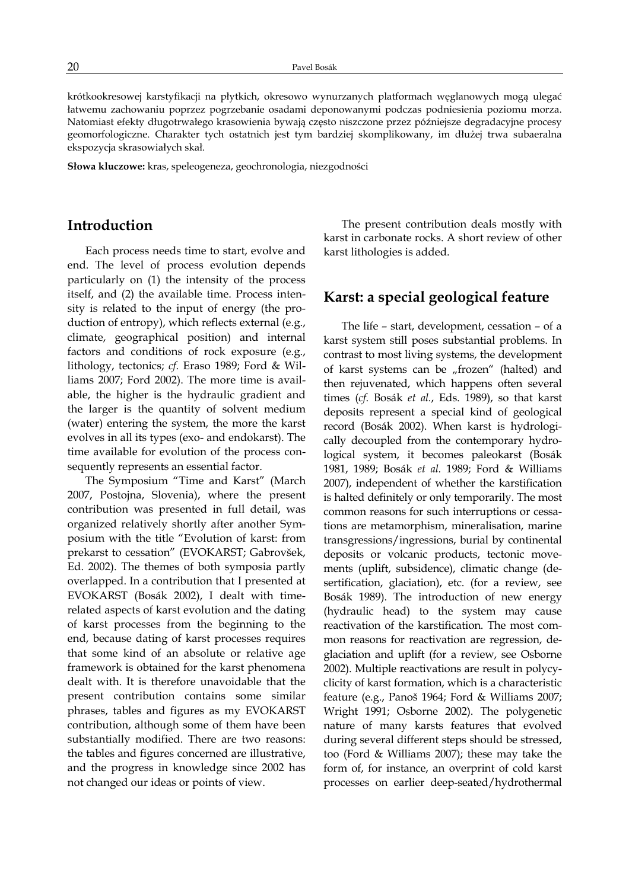krótkookresowej karstyfikacji na płytkich, okresowo wynurzanych platformach węglanowych mogą ulegać łatwemu zachowaniu poprzez pogrzebanie osadami deponowanymi podczas podniesienia poziomu morza. Natomiast efekty długotrwałego krasowienia bywają często niszczone przez późniejsze degradacyjne procesy geomorfologiczne. Charakter tych ostatnich jest tym bardziej skomplikowany, im dłużej trwa subaeralna ekspozycja skrasowiałych skał.

Słowa kluczowe: kras, speleogeneza, geochronologia, niezgodności

# Introduction

Each process needs time to start, evolve and end. The level of process evolution depends particularly on (1) the intensity of the process itself, and (2) the available time. Process intensity is related to the input of energy (the production of entropy), which reflects external (e.g., climate, geographical position) and internal factors and conditions of rock exposure (e.g., lithology, tectonics; cf. Eraso 1989; Ford & Williams 2007; Ford 2002). The more time is available, the higher is the hydraulic gradient and the larger is the quantity of solvent medium (water) entering the system, the more the karst evolves in all its types (exo- and endokarst). The time available for evolution of the process consequently represents an essential factor.

The Symposium "Time and Karst" (March 2007, Postojna, Slovenia), where the present contribution was presented in full detail, was organized relatively shortly after another Symposium with the title "Evolution of karst: from prekarst to cessation" (EVOKARST; Gabrovšek, Ed. 2002). The themes of both symposia partly overlapped. In a contribution that I presented at EVOKARST (Bosák 2002), I dealt with timerelated aspects of karst evolution and the dating of karst processes from the beginning to the end, because dating of karst processes requires that some kind of an absolute or relative age framework is obtained for the karst phenomena dealt with. It is therefore unavoidable that the present contribution contains some similar phrases, tables and figures as my EVOKARST contribution, although some of them have been substantially modified. There are two reasons: the tables and figures concerned are illustrative, and the progress in knowledge since 2002 has not changed our ideas or points of view.

The present contribution deals mostly with karst in carbonate rocks. A short review of other karst lithologies is added.

# Karst: a special geological feature

The life – start, development, cessation – of a karst system still poses substantial problems. In contrast to most living systems, the development of karst systems can be "frozen" (halted) and then rejuvenated, which happens often several times (cf. Bosák et al., Eds. 1989), so that karst deposits represent a special kind of geological record (Bosák 2002). When karst is hydrologically decoupled from the contemporary hydrological system, it becomes paleokarst (Bosák 1981, 1989; Bosák et al. 1989; Ford & Williams 2007), independent of whether the karstification is halted definitely or only temporarily. The most common reasons for such interruptions or cessations are metamorphism, mineralisation, marine transgressions/ingressions, burial by continental deposits or volcanic products, tectonic movements (uplift, subsidence), climatic change (desertification, glaciation), etc. (for a review, see Bosák 1989). The introduction of new energy (hydraulic head) to the system may cause reactivation of the karstification. The most common reasons for reactivation are regression, deglaciation and uplift (for a review, see Osborne 2002). Multiple reactivations are result in polycyclicity of karst formation, which is a characteristic feature (e.g., Panoš 1964; Ford & Williams 2007; Wright 1991; Osborne 2002). The polygenetic nature of many karsts features that evolved during several different steps should be stressed, too (Ford & Williams 2007); these may take the form of, for instance, an overprint of cold karst processes on earlier deep-seated/hydrothermal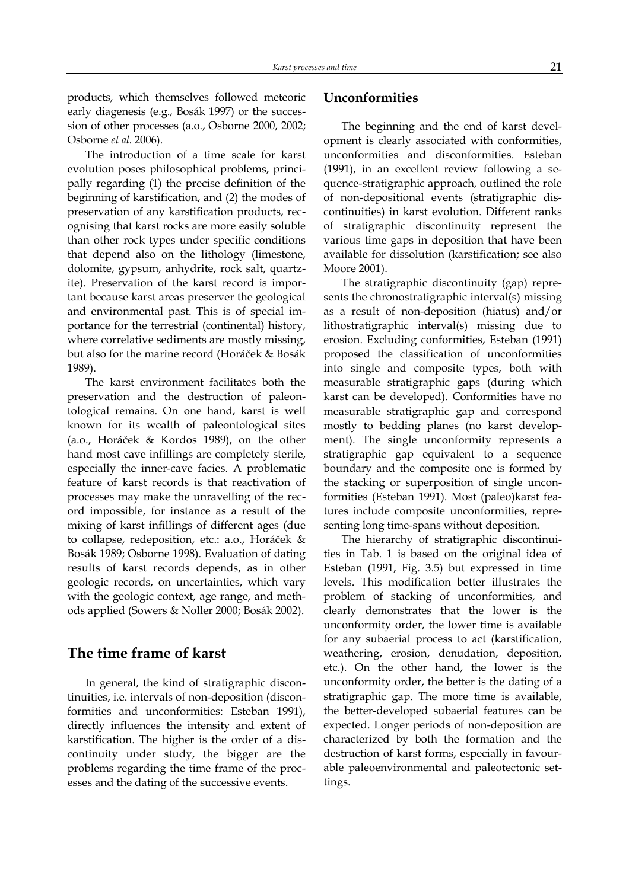products, which themselves followed meteoric early diagenesis (e.g., Bosák 1997) or the succession of other processes (a.o., Osborne 2000, 2002; Osborne et al. 2006).

The introduction of a time scale for karst evolution poses philosophical problems, principally regarding (1) the precise definition of the beginning of karstification, and (2) the modes of preservation of any karstification products, recognising that karst rocks are more easily soluble than other rock types under specific conditions that depend also on the lithology (limestone, dolomite, gypsum, anhydrite, rock salt, quartzite). Preservation of the karst record is important because karst areas preserver the geological and environmental past. This is of special importance for the terrestrial (continental) history, where correlative sediments are mostly missing, but also for the marine record (Horáček & Bosák 1989).

The karst environment facilitates both the preservation and the destruction of paleontological remains. On one hand, karst is well known for its wealth of paleontological sites (a.o., Horáček & Kordos 1989), on the other hand most cave infillings are completely sterile, especially the inner-cave facies. A problematic feature of karst records is that reactivation of processes may make the unravelling of the record impossible, for instance as a result of the mixing of karst infillings of different ages (due to collapse, redeposition, etc.: a.o., Horáček & Bosák 1989; Osborne 1998). Evaluation of dating results of karst records depends, as in other geologic records, on uncertainties, which vary with the geologic context, age range, and methods applied (Sowers & Noller 2000; Bosák 2002).

# The time frame of karst

In general, the kind of stratigraphic discontinuities, i.e. intervals of non-deposition (disconformities and unconformities: Esteban 1991), directly influences the intensity and extent of karstification. The higher is the order of a discontinuity under study, the bigger are the problems regarding the time frame of the processes and the dating of the successive events.

### Unconformities

The beginning and the end of karst development is clearly associated with conformities, unconformities and disconformities. Esteban (1991), in an excellent review following a sequence-stratigraphic approach, outlined the role of non-depositional events (stratigraphic discontinuities) in karst evolution. Different ranks of stratigraphic discontinuity represent the various time gaps in deposition that have been available for dissolution (karstification; see also Moore 2001).

The stratigraphic discontinuity (gap) represents the chronostratigraphic interval(s) missing as a result of non-deposition (hiatus) and/or lithostratigraphic interval(s) missing due to erosion. Excluding conformities, Esteban (1991) proposed the classification of unconformities into single and composite types, both with measurable stratigraphic gaps (during which karst can be developed). Conformities have no measurable stratigraphic gap and correspond mostly to bedding planes (no karst development). The single unconformity represents a stratigraphic gap equivalent to a sequence boundary and the composite one is formed by the stacking or superposition of single unconformities (Esteban 1991). Most (paleo)karst features include composite unconformities, representing long time-spans without deposition.

The hierarchy of stratigraphic discontinuities in Tab. 1 is based on the original idea of Esteban (1991, Fig. 3.5) but expressed in time levels. This modification better illustrates the problem of stacking of unconformities, and clearly demonstrates that the lower is the unconformity order, the lower time is available for any subaerial process to act (karstification, weathering, erosion, denudation, deposition, etc.). On the other hand, the lower is the unconformity order, the better is the dating of a stratigraphic gap. The more time is available, the better-developed subaerial features can be expected. Longer periods of non-deposition are characterized by both the formation and the destruction of karst forms, especially in favourable paleoenvironmental and paleotectonic settings.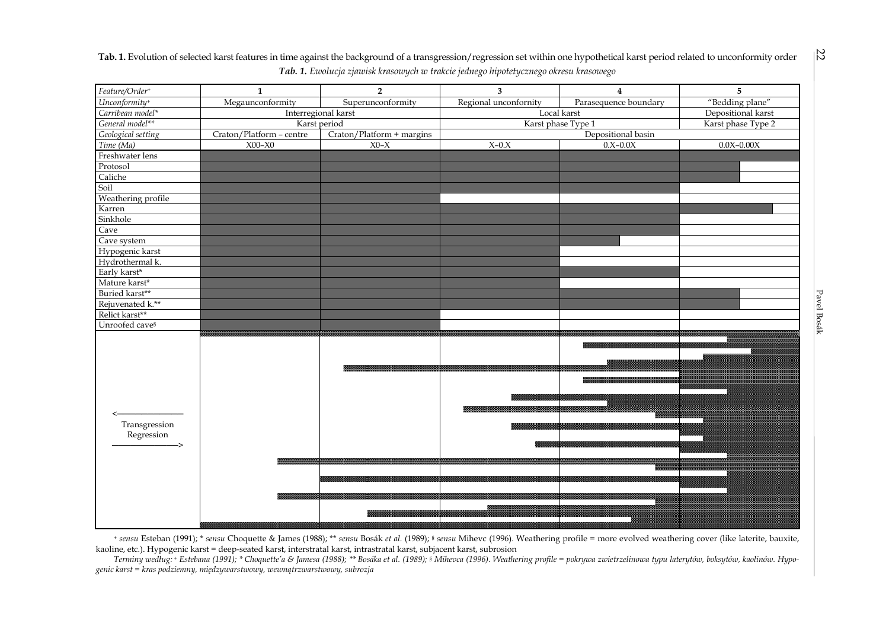

Tab. 1. Evolution of selected karst features in time against the background of a transgression/regression set within one hypothetical karst period related to unconformity order Tab. 1. Ewolucja zjawisk krasowych w trakcie jednego hipotetycznego okresu krasowego

+ sensu Esteban (1991); \* sensu Choquette & James (1988); \*\* sensu Bosák et al. (1989); § sensu Mihevc (1996). Weathering profile = more evolved weathering cover (like laterite, bauxite, kaoline, etc.). Hypogenic karst = deep-seated karst, interstratal karst, intrastratal karst, subjacent karst, subrosion

 Terminy według: <sup>+</sup> Estebana (1991); \* Choquette'a & Jamesa (1988); \*\* Bosáka et al. (1989); § Mihevca (1996). Weathering profile = pokrywa zwietrzelinowa typu laterytów, boksytów, kaolinów. Hypogenic karst = kras podziemny, międzywarstwowy, wewnątrzwarstwowy, subrozja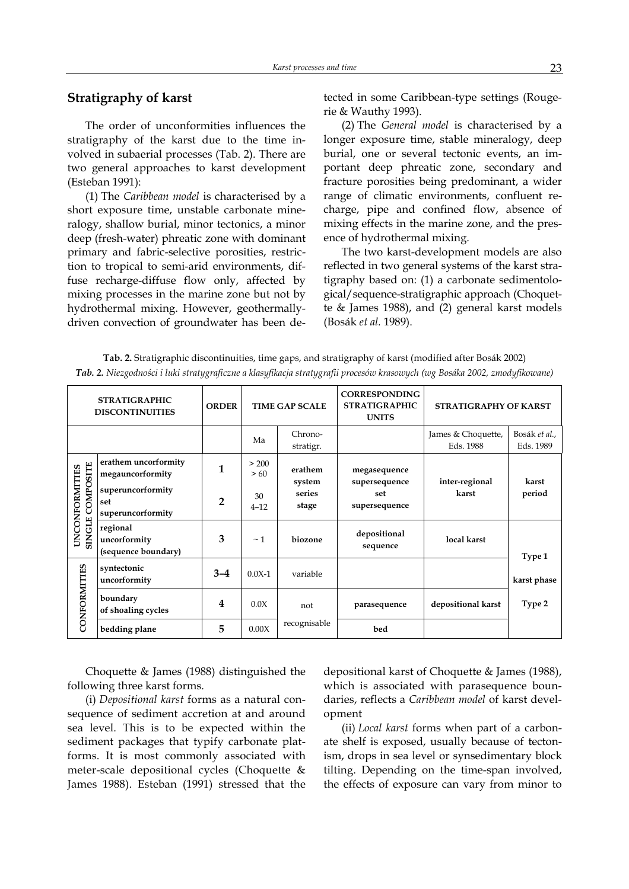# Stratigraphy of karst

The order of unconformities influences the stratigraphy of the karst due to the time involved in subaerial processes (Tab. 2). There are two general approaches to karst development (Esteban 1991):

(1) The Caribbean model is characterised by a short exposure time, unstable carbonate mineralogy, shallow burial, minor tectonics, a minor deep (fresh-water) phreatic zone with dominant primary and fabric-selective porosities, restriction to tropical to semi-arid environments, diffuse recharge-diffuse flow only, affected by mixing processes in the marine zone but not by hydrothermal mixing. However, geothermallydriven convection of groundwater has been detected in some Caribbean-type settings (Rougerie & Wauthy 1993).

(2) The General model is characterised by a longer exposure time, stable mineralogy, deep burial, one or several tectonic events, an important deep phreatic zone, secondary and fracture porosities being predominant, a wider range of climatic environments, confluent recharge, pipe and confined flow, absence of mixing effects in the marine zone, and the presence of hydrothermal mixing.

The two karst-development models are also reflected in two general systems of the karst stratigraphy based on: (1) a carbonate sedimentological/sequence-stratigraphic approach (Choquette & James 1988), and (2) general karst models (Bosák et al. 1989).

| Tab. 2. Stratigraphic discontinuities, time gaps, and stratigraphy of karst (modified after Bosák 2002)                    |  |
|----------------------------------------------------------------------------------------------------------------------------|--|
| Tab. 2. Niezgodności i luki stratygraficzne a klasyfikacja stratygrafii procesów krasowych (wg Bosáka 2002, zmodyfikowane) |  |

| <b>STRATIGRAPHIC</b><br><b>DISCONTINUITIES</b> |                                                 | <b>ORDER</b>   | <b>TIME GAP SCALE</b> |                      | <b>CORRESPONDING</b><br><b>STRATIGRAPHIC</b><br><b>UNITS</b> | STRATIGRAPHY OF KARST           |                            |
|------------------------------------------------|-------------------------------------------------|----------------|-----------------------|----------------------|--------------------------------------------------------------|---------------------------------|----------------------------|
|                                                |                                                 |                | Ma                    | Chrono-<br>stratigr. |                                                              | James & Choquette,<br>Eds. 1988 | Bosák et al.,<br>Eds. 1989 |
| <b>SINGLE COMPOSITE</b><br>UNCONFORMITIES      | erathem uncorformity<br>megauncorformity        | 1              | > 200<br>>60          | erathem<br>system    | megasequence<br>supersequence                                | inter-regional<br>karst         | karst<br>period            |
|                                                | superuncorformity<br>set<br>superuncorformity   | $\overline{2}$ | 30<br>$4 - 12$        | series<br>stage      | set<br>supersequence                                         |                                 |                            |
|                                                | regional<br>uncorformity<br>(sequence boundary) | 3              | $~\sim$ 1             | biozone              | depositional<br>sequence                                     | local karst                     | Type 1                     |
| CONFORMITIES                                   | syntectonic<br>uncorformity                     | $3 - 4$        | $0.0X-1$              | variable             |                                                              |                                 | karst phase                |
|                                                | boundary<br>of shoaling cycles                  | 4              | 0.0X                  | not                  | parasequence                                                 | depositional karst              | Type 2                     |
|                                                | bedding plane                                   | 5              | 0.00X                 | recognisable         | bed                                                          |                                 |                            |

Choquette & James (1988) distinguished the following three karst forms.

(i) Depositional karst forms as a natural consequence of sediment accretion at and around sea level. This is to be expected within the sediment packages that typify carbonate platforms. It is most commonly associated with meter-scale depositional cycles (Choquette & James 1988). Esteban (1991) stressed that the depositional karst of Choquette & James (1988), which is associated with parasequence boundaries, reflects a Caribbean model of karst development

(ii) Local karst forms when part of a carbonate shelf is exposed, usually because of tectonism, drops in sea level or synsedimentary block tilting. Depending on the time-span involved, the effects of exposure can vary from minor to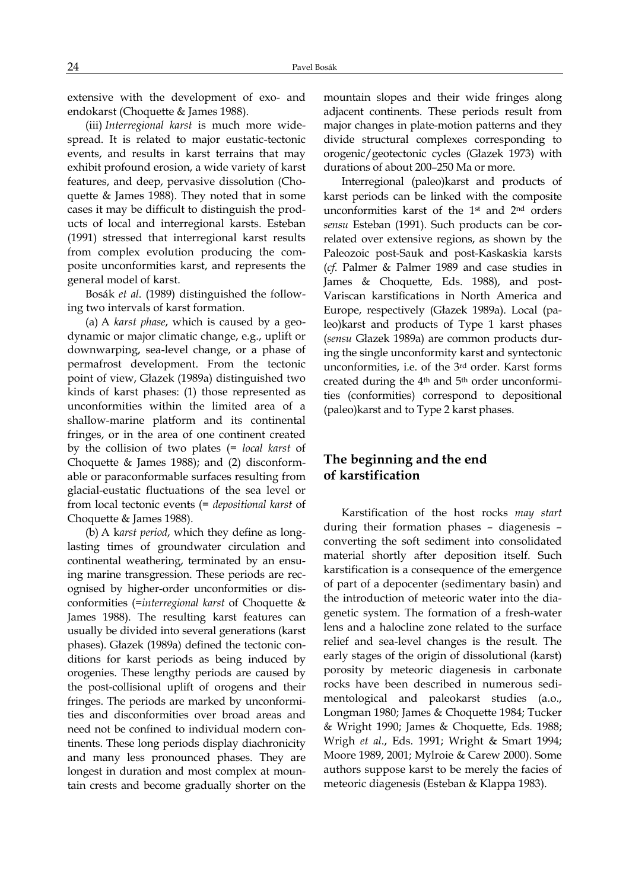extensive with the development of exo- and endokarst (Choquette & James 1988).

(iii) Interregional karst is much more widespread. It is related to major eustatic-tectonic events, and results in karst terrains that may exhibit profound erosion, a wide variety of karst features, and deep, pervasive dissolution (Choquette & James 1988). They noted that in some cases it may be difficult to distinguish the products of local and interregional karsts. Esteban (1991) stressed that interregional karst results from complex evolution producing the composite unconformities karst, and represents the general model of karst.

Bosák et al. (1989) distinguished the following two intervals of karst formation.

(a) A karst phase, which is caused by a geodynamic or major climatic change, e.g., uplift or downwarping, sea-level change, or a phase of permafrost development. From the tectonic point of view, Głazek (1989a) distinguished two kinds of karst phases: (1) those represented as unconformities within the limited area of a shallow-marine platform and its continental fringes, or in the area of one continent created by the collision of two plates (= local karst of Choquette & James 1988); and (2) disconformable or paraconformable surfaces resulting from glacial-eustatic fluctuations of the sea level or from local tectonic events (= depositional karst of Choquette & James 1988).

(b) A karst period, which they define as longlasting times of groundwater circulation and continental weathering, terminated by an ensuing marine transgression. These periods are recognised by higher-order unconformities or disconformities (=interregional karst of Choquette & James 1988). The resulting karst features can usually be divided into several generations (karst phases). Głazek (1989a) defined the tectonic conditions for karst periods as being induced by orogenies. These lengthy periods are caused by the post-collisional uplift of orogens and their fringes. The periods are marked by unconformities and disconformities over broad areas and need not be confined to individual modern continents. These long periods display diachronicity and many less pronounced phases. They are longest in duration and most complex at mountain crests and become gradually shorter on the

mountain slopes and their wide fringes along adjacent continents. These periods result from major changes in plate-motion patterns and they divide structural complexes corresponding to orogenic/geotectonic cycles (Głazek 1973) with durations of about 200–250 Ma or more.

Interregional (paleo)karst and products of karst periods can be linked with the composite unconformities karst of the 1st and 2nd orders sensu Esteban (1991). Such products can be correlated over extensive regions, as shown by the Paleozoic post-Sauk and post-Kaskaskia karsts (cf. Palmer & Palmer 1989 and case studies in James & Choquette, Eds. 1988), and post-Variscan karstifications in North America and Europe, respectively (Głazek 1989a). Local (paleo)karst and products of Type 1 karst phases (sensu Głazek 1989a) are common products during the single unconformity karst and syntectonic unconformities, i.e. of the 3rd order. Karst forms created during the 4th and 5th order unconformities (conformities) correspond to depositional (paleo)karst and to Type 2 karst phases.

# The beginning and the end of karstification

Karstification of the host rocks may start during their formation phases – diagenesis – converting the soft sediment into consolidated material shortly after deposition itself. Such karstification is a consequence of the emergence of part of a depocenter (sedimentary basin) and the introduction of meteoric water into the diagenetic system. The formation of a fresh-water lens and a halocline zone related to the surface relief and sea-level changes is the result. The early stages of the origin of dissolutional (karst) porosity by meteoric diagenesis in carbonate rocks have been described in numerous sedimentological and paleokarst studies (a.o., Longman 1980; James & Choquette 1984; Tucker & Wright 1990; James & Choquette, Eds. 1988; Wrigh et al., Eds. 1991; Wright & Smart 1994; Moore 1989, 2001; Mylroie & Carew 2000). Some authors suppose karst to be merely the facies of meteoric diagenesis (Esteban & Klappa 1983).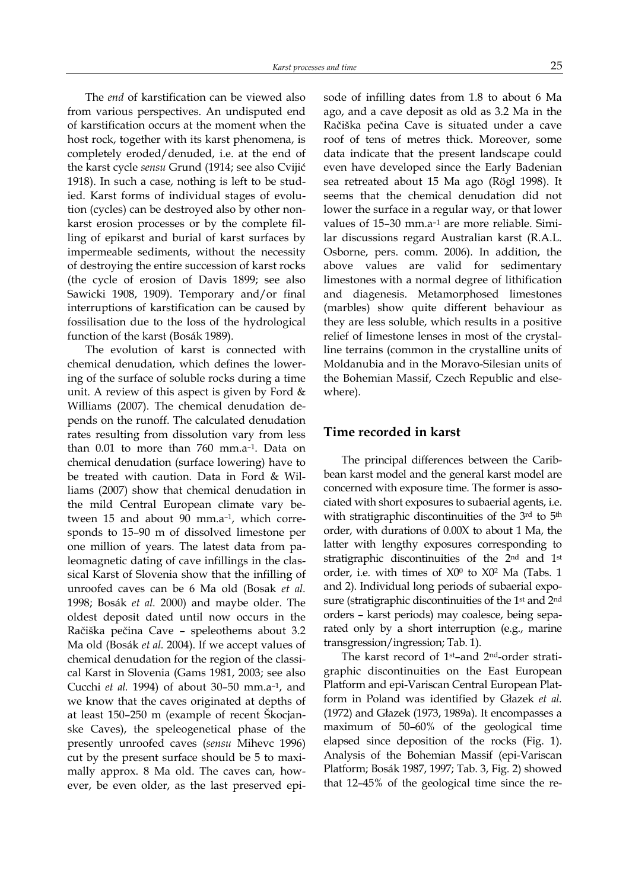The end of karstification can be viewed also from various perspectives. An undisputed end of karstification occurs at the moment when the host rock, together with its karst phenomena, is completely eroded/denuded, i.e. at the end of the karst cycle sensu Grund (1914; see also Cvijić 1918). In such a case, nothing is left to be studied. Karst forms of individual stages of evolution (cycles) can be destroyed also by other nonkarst erosion processes or by the complete filling of epikarst and burial of karst surfaces by impermeable sediments, without the necessity of destroying the entire succession of karst rocks (the cycle of erosion of Davis 1899; see also Sawicki 1908, 1909). Temporary and/or final interruptions of karstification can be caused by fossilisation due to the loss of the hydrological function of the karst (Bosák 1989).

The evolution of karst is connected with chemical denudation, which defines the lowering of the surface of soluble rocks during a time unit. A review of this aspect is given by Ford & Williams (2007). The chemical denudation depends on the runoff. The calculated denudation rates resulting from dissolution vary from less than 0.01 to more than 760 mm.a–1. Data on chemical denudation (surface lowering) have to be treated with caution. Data in Ford & Williams (2007) show that chemical denudation in the mild Central European climate vary between 15 and about 90 mm.a–1, which corresponds to 15–90 m of dissolved limestone per one million of years. The latest data from paleomagnetic dating of cave infillings in the classical Karst of Slovenia show that the infilling of unroofed caves can be 6 Ma old (Bosak et al. 1998; Bosák et al. 2000) and maybe older. The oldest deposit dated until now occurs in the Račiška pečina Cave – speleothems about 3.2 Ma old (Bosák et al. 2004). If we accept values of chemical denudation for the region of the classical Karst in Slovenia (Gams 1981, 2003; see also Cucchi et al. 1994) of about 30–50 mm.a–1, and we know that the caves originated at depths of at least 150–250 m (example of recent Škocjanske Caves), the speleogenetical phase of the presently unroofed caves (sensu Mihevc 1996) cut by the present surface should be 5 to maximally approx. 8 Ma old. The caves can, however, be even older, as the last preserved episode of infilling dates from 1.8 to about 6 Ma ago, and a cave deposit as old as 3.2 Ma in the Račiška pečina Cave is situated under a cave roof of tens of metres thick. Moreover, some data indicate that the present landscape could even have developed since the Early Badenian sea retreated about 15 Ma ago (Rögl 1998). It seems that the chemical denudation did not lower the surface in a regular way, or that lower values of 15–30 mm.a–1 are more reliable. Similar discussions regard Australian karst (R.A.L. Osborne, pers. comm. 2006). In addition, the above values are valid for sedimentary limestones with a normal degree of lithification and diagenesis. Metamorphosed limestones (marbles) show quite different behaviour as they are less soluble, which results in a positive relief of limestone lenses in most of the crystalline terrains (common in the crystalline units of Moldanubia and in the Moravo-Silesian units of the Bohemian Massif, Czech Republic and elsewhere).

# Time recorded in karst

The principal differences between the Caribbean karst model and the general karst model are concerned with exposure time. The former is associated with short exposures to subaerial agents, i.e. with stratigraphic discontinuities of the 3rd to 5<sup>th</sup> order, with durations of 0.00X to about 1 Ma, the latter with lengthy exposures corresponding to stratigraphic discontinuities of the 2nd and 1st order, i.e. with times of X0<sup>0</sup> to X0<sup>2</sup> Ma (Tabs. 1 and 2). Individual long periods of subaerial exposure (stratigraphic discontinuities of the 1st and 2nd orders – karst periods) may coalesce, being separated only by a short interruption (e.g., marine transgression/ingression; Tab. 1).

The karst record of 1st–and 2nd-order stratigraphic discontinuities on the East European Platform and epi-Variscan Central European Platform in Poland was identified by Głazek et al. (1972) and Głazek (1973, 1989a). It encompasses a maximum of 50–60% of the geological time elapsed since deposition of the rocks (Fig. 1). Analysis of the Bohemian Massif (epi-Variscan Platform; Bosák 1987, 1997; Tab. 3, Fig. 2) showed that 12–45% of the geological time since the re-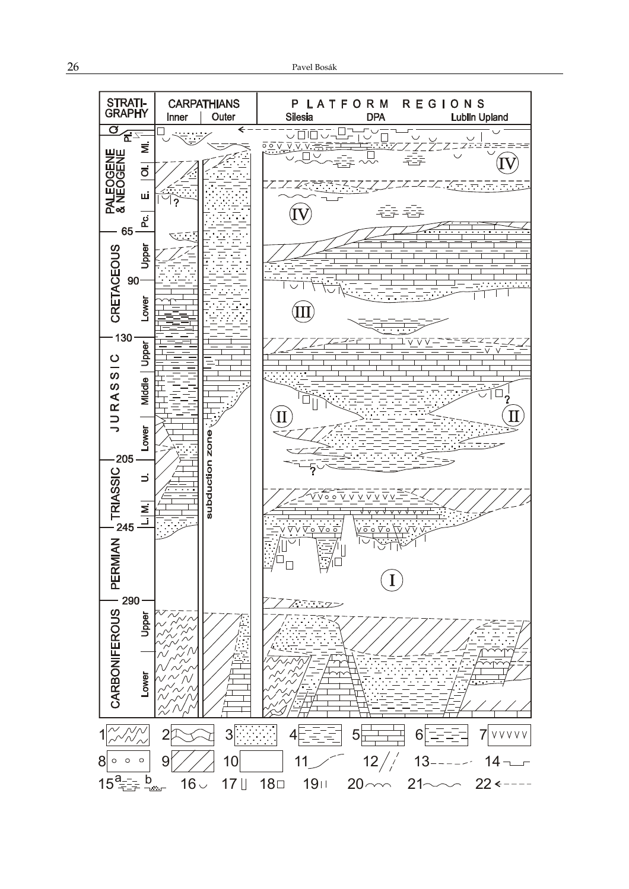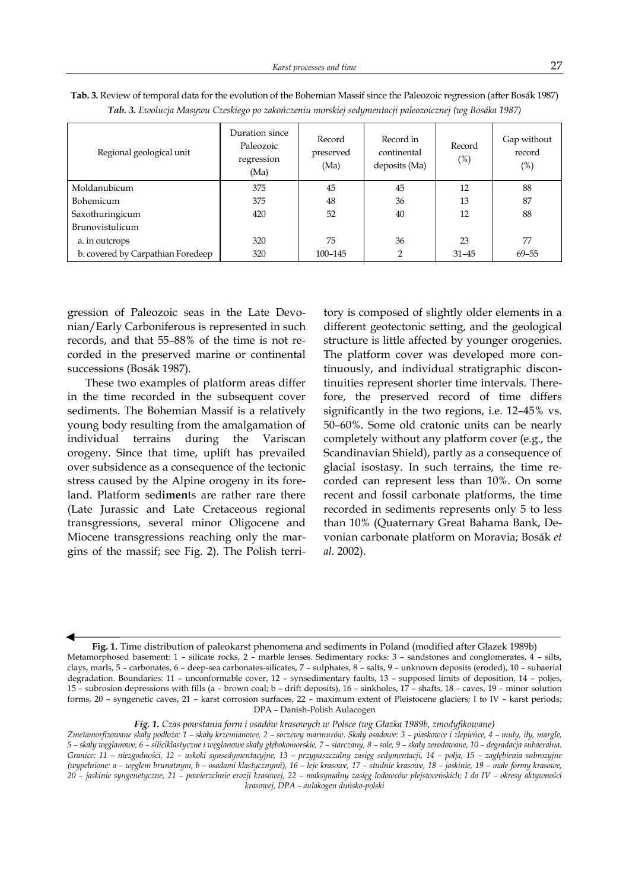| Regional geological unit          | Duration since<br>Paleozoic<br>regression<br>(Ma) | Record<br>preserved<br>(Ma) | Record in<br>continental<br>deposits (Ma) | Record<br>$(\%)$ | Gap without<br>record<br>$(\%)$ |
|-----------------------------------|---------------------------------------------------|-----------------------------|-------------------------------------------|------------------|---------------------------------|
| Moldanubicum                      | 375                                               | 45                          | 45                                        | 12               | 88                              |
| Bohemicum                         | 375                                               | 48                          | 36                                        | 13               | 87                              |
| Saxothuringicum                   | 420                                               | 52                          | 40                                        | 12               | 88                              |
| Brunovistulicum                   |                                                   |                             |                                           |                  |                                 |
| a. in outcrops                    | 320                                               | 75                          | 36                                        | 23               | 77                              |
| b. covered by Carpathian Foredeep | 320                                               | 100-145                     | 2                                         | $31 - 45$        | 69-55                           |

Tab. 3. Review of temporal data for the evolution of the Bohemian Massif since the Paleozoic regression (after Bosák 1987) Tab. 3. Ewolucja Masywu Czeskiego po zakończeniu morskiej sedymentacji paleozoicznej (wg Bosáka 1987)

gression of Paleozoic seas in the Late Devonian/Early Carboniferous is represented in such records, and that 55–88% of the time is not recorded in the preserved marine or continental successions (Bosák 1987).

These two examples of platform areas differ in the time recorded in the subsequent cover sediments. The Bohemian Massif is a relatively young body resulting from the amalgamation of individual terrains during the Variscan orogeny. Since that time, uplift has prevailed over subsidence as a consequence of the tectonic stress caused by the Alpine orogeny in its foreland. Platform sediments are rather rare there (Late Jurassic and Late Cretaceous regional transgressions, several minor Oligocene and Miocene transgressions reaching only the margins of the massif; see Fig. 2). The Polish territory is composed of slightly older elements in a different geotectonic setting, and the geological structure is little affected by younger orogenies. The platform cover was developed more continuously, and individual stratigraphic discontinuities represent shorter time intervals. Therefore, the preserved record of time differs significantly in the two regions, i.e. 12–45% vs. 50–60%. Some old cratonic units can be nearly completely without any platform cover (e.g., the Scandinavian Shield), partly as a consequence of glacial isostasy. In such terrains, the time recorded can represent less than 10%. On some recent and fossil carbonate platforms, the time recorded in sediments represents only 5 to less than 10% (Quaternary Great Bahama Bank, Devonian carbonate platform on Moravia; Bosák et al. 2002).

Fig. 1. Time distribution of paleokarst phenomena and sediments in Poland (modified after Głazek 1989b) Metamorphosed basement: 1 – silicate rocks, 2 – marble lenses. Sedimentary rocks: 3 – sandstones and conglomerates, 4 – silts, clays, marls, 5 – carbonates, 6 – deep-sea carbonates-silicates, 7 – sulphates, 8 – salts, 9 – unknown deposits (eroded), 10 – subaerial degradation. Boundaries: 11 – unconformable cover, 12 – synsedimentary faults, 13 – supposed limits of deposition, 14 – poljes, 15 – subrosion depressions with fills (a – brown coal; b – drift deposits), 16 – sinkholes, 17 – shafts, 18 – caves, 19 – minor solution forms, 20 – syngenetic caves, 21 – karst corrosion surfaces, 22 – maximum extent of Pleistocene glaciers; I to IV – karst periods; DPA – Danish-Polish Aulacogen

Fig. 1. Czas powstania form i osadów krasowych w Polsce (wg Głazka 1989b, zmodyfikowane)

Zmetamorfizowane skały podłoża: 1 – skały krzemianowe, 2 – soczewy marmurów. Skały osadowe: 3 – piaskowce i zlepieńce, 4 – muły, iły, margle, 5 – skały węglanowe, 6 – siliciklastyczne i węglanowe skały głębokomorskie, 7 – siarczany, 8 – sole, 9 – skały zerodowane, 10 – degradacja subaeralna. Granice: 11 – niezgodności, 12 – uskoki synsedymentacyjne, 13 – przypuszczalny zasięg sedymentacji, 14 – polja, 15 – zagłębienia subrozyjne (wypełnione: a – węglem brunatnym, b – osadami klastycznymi), 16 – leje krasowe, 17 – studnie krasowe, 18 – jaskinie, 19 – małe formy krasowe, 20 – jaskinie syngenetyczne, 21 – powierzchnie erozji krasowej, 22 – maksymalny zasięg lodowców plejstoceńskich; I do IV – okresy aktywności krasowej, DPA – aulakogen duńsko-polski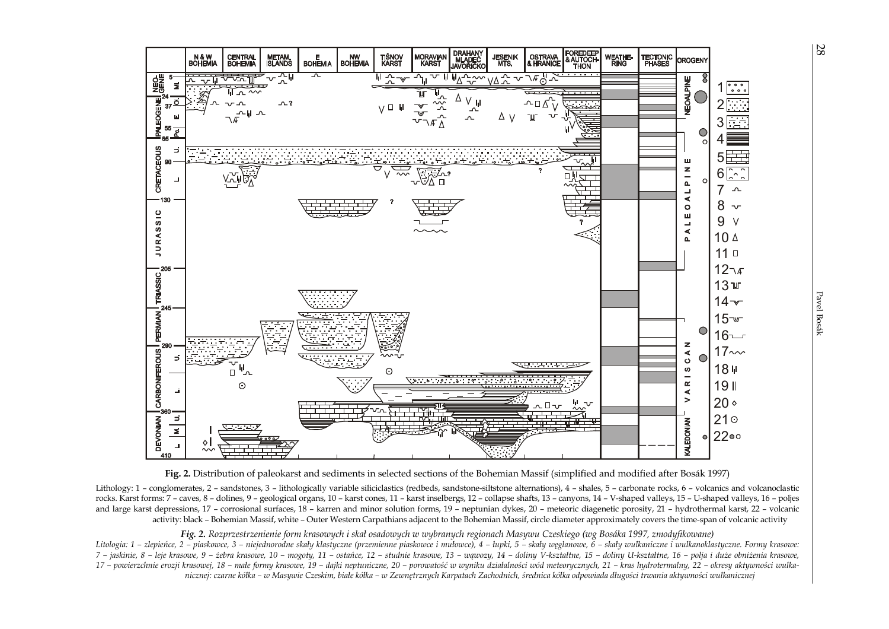



Lithology: 1 - conglomerates, 2 - sandstones, 3 - lithologically variable siliciclastics (redbeds, sandstone-siltstone alternations), 4 - shales, 5 - carbonate rocks, 6 - volcanics and volcanoclastic rocks. Karst forms: 7 – caves, 8 – dolines, 9 – geological organs, 10 – karst cones, 11 – karst inselbergs, 12 – collapse shafts, 13 – canyons, 14 – V-shaped valleys, 15 – U-shaped valleys, 16 – poljes and large karst depressions, 17 – corrosional surfaces, 18 – karren and minor solution forms, 19 – neptunian dykes, 20 – meteoric diagenetic porosity, 21 – hydrothermal karst, 22 – volcanicactivity: black – Bohemian Massif, white – Outer Western Carpathians adjacent to the Bohemian Massif, circle diameter approximately covers the time-span of volcanic activity

Fig. 2. Rozprzestrzenienie form krasowych i skał osadowych w wybranych regionach Masywu Czeskiego (wg Bosáka 1997, zmodyfikowane)

 Litologia: 1 – zlepieńce, 2 – piaskowce, 3 – niejednorodne skały klastyczne (przemienne piaskowce i mułowce), 4 – łupki, 5 – skały węglanowe, 6 – skały wulkaniczne i wulkanoklastyczne. Formy krasowe: 7 – jaskinie, 8 – leje krasowe, 9 – żebra krasowe, 10 – mogoty, 11 – ostańce, 12 – studnie krasowe, 13 – wąwozy, 14 – doliny V-kształtne, 15 – doliny U-kształtne, 16 – polja i duże obniżenia krasowe, 17 – powierzchnie erozji krasowej, 18 – małe formy krasowe, 19 – dajki neptuniczne, 20 – porowatość w wyniku działalności wód meteorycznych, 21 – kras hydrotermalny, 22 – okresy aktywności wulkanicznej: czarne kółka – w Masywie Czeskim, białe kółka – w Zewnętrznych Karpatach Zachodnich, średnica kółka odpowiada długości trwania aktywności wulkanicznej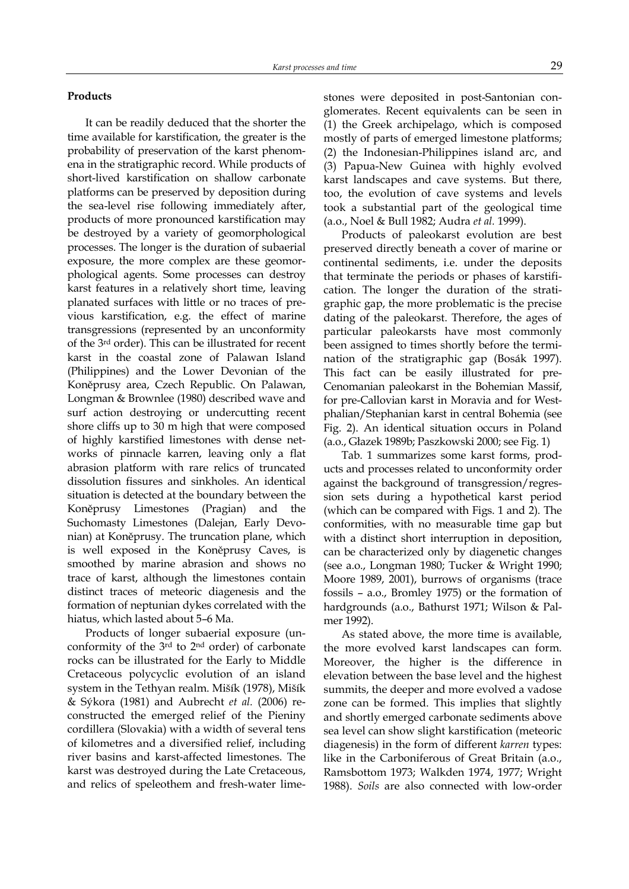#### Products

It can be readily deduced that the shorter the time available for karstification, the greater is the probability of preservation of the karst phenomena in the stratigraphic record. While products of short-lived karstification on shallow carbonate platforms can be preserved by deposition during the sea-level rise following immediately after, products of more pronounced karstification may be destroyed by a variety of geomorphological processes. The longer is the duration of subaerial exposure, the more complex are these geomorphological agents. Some processes can destroy karst features in a relatively short time, leaving planated surfaces with little or no traces of previous karstification, e.g. the effect of marine transgressions (represented by an unconformity of the 3rd order). This can be illustrated for recent karst in the coastal zone of Palawan Island (Philippines) and the Lower Devonian of the Koněprusy area, Czech Republic. On Palawan, Longman & Brownlee (1980) described wave and surf action destroying or undercutting recent shore cliffs up to 30 m high that were composed of highly karstified limestones with dense networks of pinnacle karren, leaving only a flat abrasion platform with rare relics of truncated dissolution fissures and sinkholes. An identical situation is detected at the boundary between the Koněprusy Limestones (Pragian) and the Suchomasty Limestones (Dalejan, Early Devonian) at Koněprusy. The truncation plane, which is well exposed in the Koněprusy Caves, is smoothed by marine abrasion and shows no trace of karst, although the limestones contain distinct traces of meteoric diagenesis and the formation of neptunian dykes correlated with the hiatus, which lasted about 5–6 Ma.

Products of longer subaerial exposure (unconformity of the 3rd to 2nd order) of carbonate rocks can be illustrated for the Early to Middle Cretaceous polycyclic evolution of an island system in the Tethyan realm. Mišík (1978), Mišík & Sýkora (1981) and Aubrecht et al. (2006) reconstructed the emerged relief of the Pieniny cordillera (Slovakia) with a width of several tens of kilometres and a diversified relief, including river basins and karst-affected limestones. The karst was destroyed during the Late Cretaceous, and relics of speleothem and fresh-water limestones were deposited in post-Santonian conglomerates. Recent equivalents can be seen in (1) the Greek archipelago, which is composed mostly of parts of emerged limestone platforms; (2) the Indonesian-Philippines island arc, and (3) Papua-New Guinea with highly evolved karst landscapes and cave systems. But there, too, the evolution of cave systems and levels took a substantial part of the geological time (a.o., Noel & Bull 1982; Audra et al. 1999).

Products of paleokarst evolution are best preserved directly beneath a cover of marine or continental sediments, i.e. under the deposits that terminate the periods or phases of karstification. The longer the duration of the stratigraphic gap, the more problematic is the precise dating of the paleokarst. Therefore, the ages of particular paleokarsts have most commonly been assigned to times shortly before the termination of the stratigraphic gap (Bosák 1997). This fact can be easily illustrated for pre-Cenomanian paleokarst in the Bohemian Massif, for pre-Callovian karst in Moravia and for Westphalian/Stephanian karst in central Bohemia (see Fig. 2). An identical situation occurs in Poland (a.o., Głazek 1989b; Paszkowski 2000; see Fig. 1)

Tab. 1 summarizes some karst forms, products and processes related to unconformity order against the background of transgression/regression sets during a hypothetical karst period (which can be compared with Figs. 1 and 2). The conformities, with no measurable time gap but with a distinct short interruption in deposition, can be characterized only by diagenetic changes (see a.o., Longman 1980; Tucker & Wright 1990; Moore 1989, 2001), burrows of organisms (trace fossils – a.o., Bromley 1975) or the formation of hardgrounds (a.o., Bathurst 1971; Wilson & Palmer 1992).

As stated above, the more time is available, the more evolved karst landscapes can form. Moreover, the higher is the difference in elevation between the base level and the highest summits, the deeper and more evolved a vadose zone can be formed. This implies that slightly and shortly emerged carbonate sediments above sea level can show slight karstification (meteoric diagenesis) in the form of different karren types: like in the Carboniferous of Great Britain (a.o., Ramsbottom 1973; Walkden 1974, 1977; Wright 1988). Soils are also connected with low-order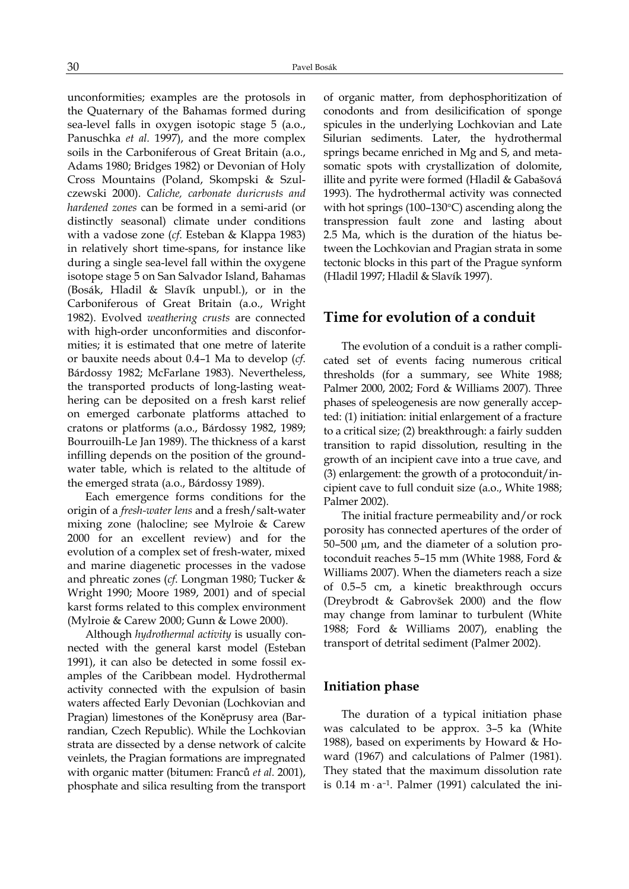unconformities; examples are the protosols in the Quaternary of the Bahamas formed during sea-level falls in oxygen isotopic stage 5 (a.o., Panuschka et al. 1997), and the more complex soils in the Carboniferous of Great Britain (a.o., Adams 1980; Bridges 1982) or Devonian of Holy Cross Mountains (Poland, Skompski & Szulczewski 2000). Caliche, carbonate duricrusts and hardened zones can be formed in a semi-arid (or distinctly seasonal) climate under conditions with a vadose zone (*cf.* Esteban & Klappa 1983) in relatively short time-spans, for instance like during a single sea-level fall within the oxygene isotope stage 5 on San Salvador Island, Bahamas (Bosák, Hladil & Slavík unpubl.), or in the Carboniferous of Great Britain (a.o., Wright 1982). Evolved weathering crusts are connected with high-order unconformities and disconformities; it is estimated that one metre of laterite or bauxite needs about 0.4–1 Ma to develop (cf. Bárdossy 1982; McFarlane 1983). Nevertheless, the transported products of long-lasting weathering can be deposited on a fresh karst relief on emerged carbonate platforms attached to cratons or platforms (a.o., Bárdossy 1982, 1989; Bourrouilh-Le Jan 1989). The thickness of a karst infilling depends on the position of the groundwater table, which is related to the altitude of the emerged strata (a.o., Bárdossy 1989).

Each emergence forms conditions for the origin of a fresh-water lens and a fresh/salt-water mixing zone (halocline; see Mylroie & Carew 2000 for an excellent review) and for the evolution of a complex set of fresh-water, mixed and marine diagenetic processes in the vadose and phreatic zones (cf. Longman 1980; Tucker & Wright 1990; Moore 1989, 2001) and of special karst forms related to this complex environment (Mylroie & Carew 2000; Gunn & Lowe 2000).

Although hydrothermal activity is usually connected with the general karst model (Esteban 1991), it can also be detected in some fossil examples of the Caribbean model. Hydrothermal activity connected with the expulsion of basin waters affected Early Devonian (Lochkovian and Pragian) limestones of the Koněprusy area (Barrandian, Czech Republic). While the Lochkovian strata are dissected by a dense network of calcite veinlets, the Pragian formations are impregnated with organic matter (bitumen: Franců et al. 2001), phosphate and silica resulting from the transport of organic matter, from dephosphoritization of conodonts and from desilicification of sponge spicules in the underlying Lochkovian and Late Silurian sediments. Later, the hydrothermal springs became enriched in Mg and S, and metasomatic spots with crystallization of dolomite, illite and pyrite were formed (Hladil & Gabašová 1993). The hydrothermal activity was connected with hot springs (100–130°C) ascending along the transpression fault zone and lasting about 2.5 Ma, which is the duration of the hiatus between the Lochkovian and Pragian strata in some tectonic blocks in this part of the Prague synform (Hladil 1997; Hladil & Slavík 1997).

# Time for evolution of a conduit

The evolution of a conduit is a rather complicated set of events facing numerous critical thresholds (for a summary, see White 1988; Palmer 2000, 2002; Ford & Williams 2007). Three phases of speleogenesis are now generally accepted: (1) initiation: initial enlargement of a fracture to a critical size; (2) breakthrough: a fairly sudden transition to rapid dissolution, resulting in the growth of an incipient cave into a true cave, and (3) enlargement: the growth of a protoconduit/incipient cave to full conduit size (a.o., White 1988; Palmer 2002).

The initial fracture permeability and/or rock porosity has connected apertures of the order of 50–500 µm, and the diameter of a solution protoconduit reaches 5–15 mm (White 1988, Ford & Williams 2007). When the diameters reach a size of 0.5–5 cm, a kinetic breakthrough occurs (Dreybrodt & Gabrovšek 2000) and the flow may change from laminar to turbulent (White 1988; Ford & Williams 2007), enabling the transport of detrital sediment (Palmer 2002).

### Initiation phase

The duration of a typical initiation phase was calculated to be approx. 3–5 ka (White 1988), based on experiments by Howard & Howard (1967) and calculations of Palmer (1981). They stated that the maximum dissolution rate is 0.14 m $\cdot$  a<sup>-1</sup>. Palmer (1991) calculated the ini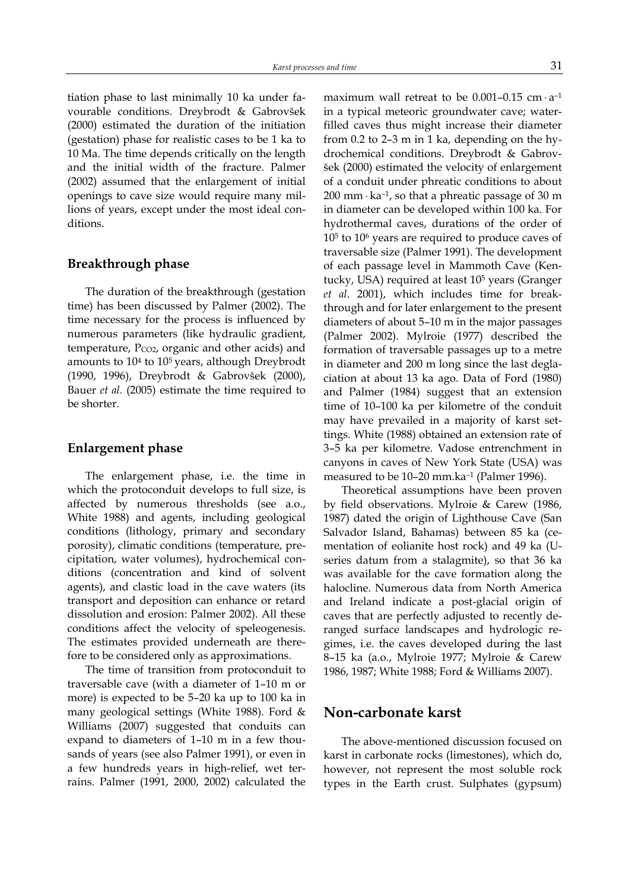tiation phase to last minimally 10 ka under favourable conditions. Dreybrodt & Gabrovšek (2000) estimated the duration of the initiation (gestation) phase for realistic cases to be 1 ka to 10 Ma. The time depends critically on the length and the initial width of the fracture. Palmer (2002) assumed that the enlargement of initial openings to cave size would require many millions of years, except under the most ideal conditions.

### Breakthrough phase

The duration of the breakthrough (gestation time) has been discussed by Palmer (2002). The time necessary for the process is influenced by numerous parameters (like hydraulic gradient, temperature,  $P_{CO2}$ , organic and other acids) and amounts to 10<sup>4</sup> to 10<sup>5</sup> years, although Dreybrodt (1990, 1996), Dreybrodt & Gabrovšek (2000), Bauer et al. (2005) estimate the time required to be shorter.

### Enlargement phase

The enlargement phase, i.e. the time in which the protoconduit develops to full size, is affected by numerous thresholds (see a.o., White 1988) and agents, including geological conditions (lithology, primary and secondary porosity), climatic conditions (temperature, precipitation, water volumes), hydrochemical conditions (concentration and kind of solvent agents), and clastic load in the cave waters (its transport and deposition can enhance or retard dissolution and erosion: Palmer 2002). All these conditions affect the velocity of speleogenesis. The estimates provided underneath are therefore to be considered only as approximations.

The time of transition from protoconduit to traversable cave (with a diameter of 1–10 m or more) is expected to be 5–20 ka up to 100 ka in many geological settings (White 1988). Ford & Williams (2007) suggested that conduits can expand to diameters of 1–10 m in a few thousands of years (see also Palmer 1991), or even in a few hundreds years in high-relief, wet terrains. Palmer (1991, 2000, 2002) calculated the

maximum wall retreat to be  $0.001-0.15$  cm  $\cdot$  a<sup>-1</sup> in a typical meteoric groundwater cave; waterfilled caves thus might increase their diameter from 0.2 to 2–3 m in 1 ka, depending on the hydrochemical conditions. Dreybrodt & Gabrovšek (2000) estimated the velocity of enlargement of a conduit under phreatic conditions to about 200 mm  $\cdot$  ka<sup>-1</sup>, so that a phreatic passage of 30 m in diameter can be developed within 100 ka. For hydrothermal caves, durations of the order of 10<sup>5</sup> to 10<sup>6</sup> years are required to produce caves of traversable size (Palmer 1991). The development of each passage level in Mammoth Cave (Kentucky, USA) required at least 10<sup>5</sup> years (Granger et al. 2001), which includes time for breakthrough and for later enlargement to the present diameters of about 5–10 m in the major passages (Palmer 2002). Mylroie (1977) described the formation of traversable passages up to a metre in diameter and 200 m long since the last deglaciation at about 13 ka ago. Data of Ford (1980) and Palmer (1984) suggest that an extension time of 10–100 ka per kilometre of the conduit may have prevailed in a majority of karst settings. White (1988) obtained an extension rate of 3–5 ka per kilometre. Vadose entrenchment in canyons in caves of New York State (USA) was measured to be 10–20 mm.ka–1 (Palmer 1996).

Theoretical assumptions have been proven by field observations. Mylroie & Carew (1986, 1987) dated the origin of Lighthouse Cave (San Salvador Island, Bahamas) between 85 ka (cementation of eolianite host rock) and 49 ka (Useries datum from a stalagmite), so that 36 ka was available for the cave formation along the halocline. Numerous data from North America and Ireland indicate a post-glacial origin of caves that are perfectly adjusted to recently deranged surface landscapes and hydrologic regimes, i.e. the caves developed during the last 8–15 ka (a.o., Mylroie 1977; Mylroie & Carew 1986, 1987; White 1988; Ford & Williams 2007).

# Non-carbonate karst

The above-mentioned discussion focused on karst in carbonate rocks (limestones), which do, however, not represent the most soluble rock types in the Earth crust. Sulphates (gypsum)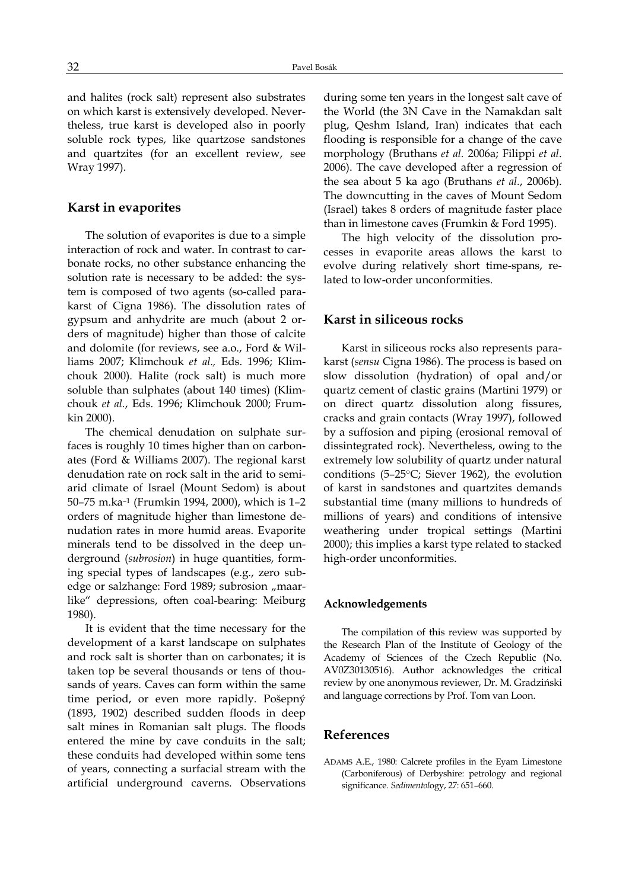and halites (rock salt) represent also substrates on which karst is extensively developed. Nevertheless, true karst is developed also in poorly soluble rock types, like quartzose sandstones and quartzites (for an excellent review, see Wray 1997).

# Karst in evaporites

The solution of evaporites is due to a simple interaction of rock and water. In contrast to carbonate rocks, no other substance enhancing the solution rate is necessary to be added: the system is composed of two agents (so-called parakarst of Cigna 1986). The dissolution rates of gypsum and anhydrite are much (about 2 orders of magnitude) higher than those of calcite and dolomite (for reviews, see a.o., Ford & Williams 2007; Klimchouk et al., Eds. 1996; Klimchouk 2000). Halite (rock salt) is much more soluble than sulphates (about 140 times) (Klimchouk et al., Eds. 1996; Klimchouk 2000; Frumkin 2000).

The chemical denudation on sulphate surfaces is roughly 10 times higher than on carbonates (Ford & Williams 2007). The regional karst denudation rate on rock salt in the arid to semiarid climate of Israel (Mount Sedom) is about 50–75 m.ka–1 (Frumkin 1994, 2000), which is 1–2 orders of magnitude higher than limestone denudation rates in more humid areas. Evaporite minerals tend to be dissolved in the deep underground (subrosion) in huge quantities, forming special types of landscapes (e.g., zero subedge or salzhange: Ford 1989; subrosion "maarlike" depressions, often coal-bearing: Meiburg 1980).

It is evident that the time necessary for the development of a karst landscape on sulphates and rock salt is shorter than on carbonates; it is taken top be several thousands or tens of thousands of years. Caves can form within the same time period, or even more rapidly. Pošepný (1893, 1902) described sudden floods in deep salt mines in Romanian salt plugs. The floods entered the mine by cave conduits in the salt; these conduits had developed within some tens of years, connecting a surfacial stream with the artificial underground caverns. Observations during some ten years in the longest salt cave of the World (the 3N Cave in the Namakdan salt plug, Qeshm Island, Iran) indicates that each flooding is responsible for a change of the cave morphology (Bruthans et al. 2006a; Filippi et al. 2006). The cave developed after a regression of the sea about 5 ka ago (Bruthans et al., 2006b). The downcutting in the caves of Mount Sedom (Israel) takes 8 orders of magnitude faster place than in limestone caves (Frumkin & Ford 1995).

The high velocity of the dissolution processes in evaporite areas allows the karst to evolve during relatively short time-spans, related to low-order unconformities.

### Karst in siliceous rocks

Karst in siliceous rocks also represents parakarst (sensu Cigna 1986). The process is based on slow dissolution (hydration) of opal and/or quartz cement of clastic grains (Martini 1979) or on direct quartz dissolution along fissures, cracks and grain contacts (Wray 1997), followed by a suffosion and piping (erosional removal of dissintegrated rock). Nevertheless, owing to the extremely low solubility of quartz under natural conditions (5–25°C; Siever 1962), the evolution of karst in sandstones and quartzites demands substantial time (many millions to hundreds of millions of years) and conditions of intensive weathering under tropical settings (Martini 2000); this implies a karst type related to stacked high-order unconformities.

#### Acknowledgements

The compilation of this review was supported by the Research Plan of the Institute of Geology of the Academy of Sciences of the Czech Republic (No. AV0Z30130516). Author acknowledges the critical review by one anonymous reviewer, Dr. M. Gradziński and language corrections by Prof. Tom van Loon.

### References

ADAMS A.E., 1980: Calcrete profiles in the Eyam Limestone (Carboniferous) of Derbyshire: petrology and regional significance. Sedimentology, 27: 651–660.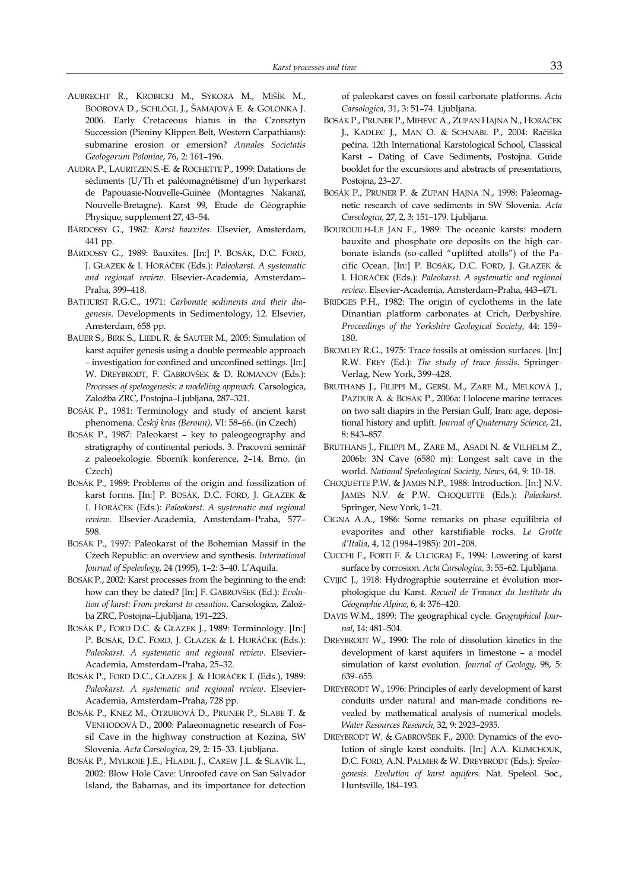- AUBRECHT R., KROBICKI M., SÝKORA M., MIŠÍK M., BOOROVÁ D., SCHLÖGL J., ŠAMAJOVÁ E. & GOLONKA J. 2006. Early Cretaceous hiatus in the Czorsztyn Succession (Pieniny Klippen Belt, Western Carpathians): submarine erosion or emersion? Annales Societatis Geologorum Poloniae, 76, 2: 161–196.
- AUDRA P., LAURITZEN S.-E. & ROCHETTE P., 1999: Datations de sédiments (U/Th et paléomagnétisme) d'un hyperkarst de Papouasie-Nouvelle-Guinée (Montagnes Nakanaï, Nouvelle-Bretagne). Karst 99, Etude de Géographie Physique, supplement 27, 43–54.
- BÁRDOSSY G., 1982: Karst bauxites. Elsevier, Amsterdam, 441 pp.
- BÁRDOSSY G., 1989: Bauxites. [In:] P. BOSÁK, D.C. FORD, J. GŁAZEK & I. HORÁČEK (Eds.): Paleokarst. A systematic and regional review. Elsevier-Academia, Amsterdam– Praha, 399–418.
- BATHURST R.G.C., 1971: Carbonate sediments and their diagenesis. Developments in Sedimentology, 12. Elsevier, Amsterdam, 658 pp.
- BAUER S., BIRK S., LIEDL R. & SAUTER M., 2005: Simulation of karst aquifer genesis using a double permeable approach – investigation for confined and unconfined settings. [In:] W. DREYBRODT, F. GABROVŠEK & D. ROMANOV (Eds.): Processes of speleogenesis: a modelling approach. Carsologica, Založba ZRC, Postojna–Ljubljana, 287–321.
- BOSÁK P., 1981: Terminology and study of ancient karst phenomena. Český kras (Beroun), VI: 58–66. (in Czech)
- BOSÁK P., 1987: Paleokarst key to paleogeography and stratigraphy of continental periods. 3. Pracovní seminář z paleoekologie. Sborník konference, 2–14, Brno. (in Czech)
- BOSÁK P., 1989: Problems of the origin and fossilization of karst forms. [In:] P. BOSÁK, D.C. FORD, J. GŁAZEK & I. HORÁČEK (Eds.): Paleokarst. A systematic and regional review. Elsevier-Academia, Amsterdam–Praha, 577– 598.
- BOSÁK P., 1997: Paleokarst of the Bohemian Massif in the Czech Republic: an overview and synthesis. International Journal of Speleology, 24 (1995), 1–2: 3–40. L'Aquila.
- BOSÁK P., 2002: Karst processes from the beginning to the end: how can they be dated? [In:] F. GABROVŠEK (Ed.): Evolution of karst: From prekarst to cessation. Carsologica, Založba ZRC, Postojna–Ljubljana, 191–223.
- BOSÁK P., FORD D.C. & GŁAZEK J., 1989: Terminology. [In:] P. BOSÁK, D.C. FORD, J. GŁAZEK & I. HORÁČEK (Eds.): Paleokarst. A systematic and regional review. Elsevier-Academia, Amsterdam–Praha, 25–32.
- BOSÁK P., FORD D.C., GŁAZEK J. & HORÁČEK I. (Eds.), 1989: Paleokarst. A systematic and regional review. Elsevier-Academia, Amsterdam–Praha, 728 pp.
- BOSÁK P., KNEZ M., OTRUBOVÁ D., PRUNER P., SLABE T. & VENHODOVÁ D., 2000: Palaeomagnetic research of Fossil Cave in the highway construction at Kozina, SW Slovenia. Acta Carsologica, 29, 2: 15–33. Ljubljana.
- BOSÁK P., MYLROIE J.E., HLADIL J., CAREW J.L. & SLAVÍK L., 2002: Blow Hole Cave: Unroofed cave on San Salvador Island, the Bahamas, and its importance for detection

of paleokarst caves on fossil carbonate platforms. Acta Carsologica, 31, 3: 51–74. Ljubljana.

- BOSÁK P., PRUNER P., MIHEVC A., ZUPAN HAJNA N., HORÁČEK J., KADLEC J., MAN O. & SCHNABL P., 2004: Račiška pečina. 12th International Karstological School, Classical Karst – Dating of Cave Sediments, Postojna. Guide booklet for the excursions and abstracts of presentations, Postojna, 23–27.
- BOSÁK P., PRUNER P. & ZUPAN HAJNA N., 1998: Paleomagnetic research of cave sediments in SW Slovenia. Acta Carsologica, 27, 2, 3: 151–179. Ljubljana.
- BOUROUILH-LE JAN F., 1989: The oceanic karsts: modern bauxite and phosphate ore deposits on the high carbonate islands (so-called "uplifted atolls") of the Pacific Ocean. [In:] P. BOSÁK, D.C. FORD, J. GŁAZEK & I. HORÁČEK (Eds.): Paleokarst. A systematic and regional review. Elsevier-Academia, Amsterdam–Praha, 443–471.
- BRIDGES P.H., 1982: The origin of cyclothems in the late Dinantian platform carbonates at Crich, Derbyshire. Proceedings of the Yorkshire Geological Society, 44: 159– 180.
- BROMLEY R.G., 1975: Trace fossils at omission surfaces. [In:] R.W. FREY (Ed.): The study of trace fossils. Springer-Verlag, New York, 399–428.
- BRUTHANS J., FILIPPI M., GERŠL M., ZARE M., MELKOVÁ J., PAZDUR A. & BOSÁK P., 2006a: Holocene marine terraces on two salt diapirs in the Persian Gulf, Iran: age, depositional history and uplift. Journal of Quaternary Science, 21, 8: 843–857.
- BRUTHANS J., FILIPPI M., ZARE M., ASADI N. & VILHELM Z., 2006b: 3N Cave (6580 m): Longest salt cave in the world. National Speleological Society, News, 64, 9: 10–18.
- CHOQUETTE P.W. & JAMES N.P., 1988: Introduction. [In:] N.V. JAMES N.V. & P.W. CHOQUETTE (Eds.): Paleokarst. Springer, New York, 1–21.
- CIGNA A.A., 1986: Some remarks on phase equilibria of evaporites and other karstifiable rocks. Le Grotte d'Italia, 4, 12 (1984–1985): 201–208.
- CUCCHI F., FORTI F. & ULCIGRAJ F., 1994: Lowering of karst surface by corrosion. Acta Carsologica, 3: 55–62. Ljubljana.
- CVIJIĆ J., 1918: Hydrographie souterraine et évolution morphologique du Karst. Recueil de Travaux du Institute du Géographie Alpine, 6, 4: 376–420.
- DAVIS W.M., 1899: The geographical cycle. Geographical Journal, 14: 481–504.
- DREYBRODT W., 1990: The role of dissolution kinetics in the development of karst aquifers in limestone – a model simulation of karst evolution. Journal of Geology, 98, 5: 639–655.
- DREYBRODT W., 1996: Principles of early development of karst conduits under natural and man-made conditions revealed by mathematical analysis of numerical models. Water Resources Research, 32, 9: 2923–2935.
- DREYBRODT W. & GABROVŠEK F., 2000: Dynamics of the evolution of single karst conduits. [In:] A.A. KLIMCHOUK, D.C. FORD, A.N. PALMER & W. DREYBRODT (Eds.): Speleogenesis. Evolution of karst aquifers. Nat. Speleol. Soc., Huntsville, 184–193.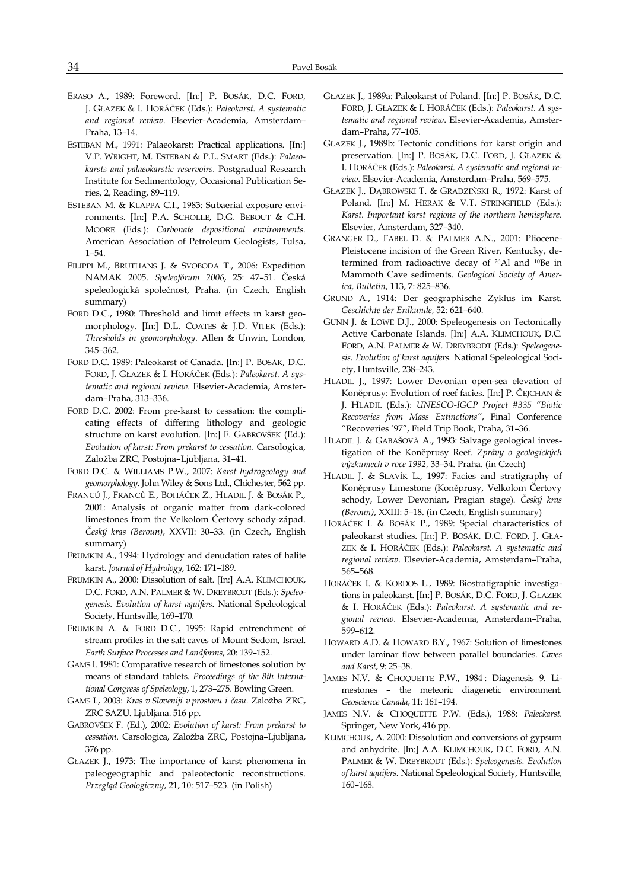- ERASO A., 1989: Foreword. [In:] P. BOSÁK, D.C. FORD, J. GŁAZEK & I. HORÁČEK (Eds.): Paleokarst. A systematic and regional review. Elsevier-Academia, Amsterdam– Praha, 13–14.
- ESTEBAN M., 1991: Palaeokarst: Practical applications. [In:] V.P. WRIGHT, M. ESTEBAN & P.L. SMART (Eds.): Palaeokarsts and palaeokarstic reservoirs. Postgradual Research Institute for Sedimentology, Occasional Publication Series, 2, Reading, 89–119.
- ESTEBAN M. & KLAPPA C.I., 1983: Subaerial exposure environments. [In:] P.A. SCHOLLE, D.G. BEBOUT & C.H. MOORE (Eds.): Carbonate depositional environments. American Association of Petroleum Geologists, Tulsa, 1–54.
- FILIPPI M., BRUTHANS J. & SVOBODA T., 2006: Expedition NAMAK 2005. Speleofórum 2006, 25: 47–51. Česká speleologická společnost, Praha. (in Czech, English summary)
- FORD D.C., 1980: Threshold and limit effects in karst geomorphology. [In:] D.L. COATES & J.D. VITEK (Eds.): Thresholds in geomorphology. Allen & Unwin, London, 345–362.
- FORD D.C. 1989: Paleokarst of Canada. [In:] P. BOSÁK, D.C. FORD, J. GŁAZEK & I. HORÁČEK (Eds.): Paleokarst. A systematic and regional review. Elsevier-Academia, Amsterdam–Praha, 313–336.
- FORD D.C. 2002: From pre-karst to cessation: the complicating effects of differing lithology and geologic structure on karst evolution. [In:] F. GABROVŠEK (Ed.): Evolution of karst: From prekarst to cessation. Carsologica, Založba ZRC, Postojna–Ljubljana, 31–41.
- FORD D.C. & WILLIAMS P.W., 2007: Karst hydrogeology and geomorphology. John Wiley & Sons Ltd., Chichester, 562 pp.
- FRANCŮ J., FRANCŮ E., BOHÁČEK Z., HLADIL J. & BOSÁK P., 2001: Analysis of organic matter from dark-colored limestones from the Velkolom Čertovy schody-západ. Český kras (Beroun), XXVII: 30–33. (in Czech, English summary)
- FRUMKIN A., 1994: Hydrology and denudation rates of halite karst. Journal of Hydrology, 162: 171–189.
- FRUMKIN A., 2000: Dissolution of salt. [In:] A.A. KLIMCHOUK, D.C. FORD, A.N. PALMER & W. DREYBRODT (Eds.): Speleogenesis. Evolution of karst aquifers. National Speleological Society, Huntsville, 169–170.
- FRUMKIN A. & FORD D.C., 1995: Rapid entrenchment of stream profiles in the salt caves of Mount Sedom, Israel. Earth Surface Processes and Landforms, 20: 139–152.
- GAMS I. 1981: Comparative research of limestones solution by means of standard tablets. Proceedings of the 8th International Congress of Speleology, 1, 273–275. Bowling Green.
- GAMS I., 2003: Kras v Sloveniji v prostoru i času. Založba ZRC, ZRC SAZU. Ljubljana. 516 pp.
- GABROVŠEK F. (Ed.), 2002: Evolution of karst: From prekarst to cessation. Carsologica, Založba ZRC, Postojna–Ljubljana, 376 pp.
- GŁAZEK J., 1973: The importance of karst phenomena in paleogeographic and paleotectonic reconstructions. Przegląd Geologiczny, 21, 10: 517–523. (in Polish)
- GŁAZEK J., 1989a: Paleokarst of Poland. [In:] P. BOSÁK, D.C. FORD, J. GŁAZEK & I. HORÁČEK (Eds.): Paleokarst. A systematic and regional review. Elsevier-Academia, Amsterdam–Praha, 77–105.
- GŁAZEK J., 1989b: Tectonic conditions for karst origin and preservation. [In:] P. BOSÁK, D.C. FORD, J. GŁAZEK & I. HORÁČEK (Eds.): Paleokarst. A systematic and regional review. Elsevier-Academia, Amsterdam–Praha, 569–575.
- GŁAZEK J., DĄBROWSKI T. & GRADZIŃSKI R., 1972: Karst of Poland. [In:] M. HERAK & V.T. STRINGFIELD (Eds.): Karst. Important karst regions of the northern hemisphere. Elsevier, Amsterdam, 327–340.
- GRANGER D., FABEL D. & PALMER A.N., 2001: Pliocene-Pleistocene incision of the Green River, Kentucky, determined from radioactive decay of 26Al and 10Be in Mammoth Cave sediments. Geological Society of America, Bulletin, 113, 7: 825–836.
- GRUND A., 1914: Der geographische Zyklus im Karst. Geschichte der Erdkunde, 52: 621–640.
- GUNN J. & LOWE D.J., 2000: Speleogenesis on Tectonically Active Carbonate Islands. [In:] A.A. KLIMCHOUK, D.C. FORD, A.N. PALMER & W. DREYBRODT (Eds.): Speleogenesis. Evolution of karst aquifers. National Speleological Society, Huntsville, 238–243.
- HLADIL J., 1997: Lower Devonian open-sea elevation of Koněprusy: Evolution of reef facies. [In:] P. ČEJCHAN & J. HLADIL (Eds.): UNESCO-IGCP Project #335 "Biotic Recoveries from Mass Extinctions", Final Conference "Recoveries '97", Field Trip Book, Praha, 31–36.
- HLADIL J. & GABAŠOVÁ A., 1993: Salvage geological investigation of the Koněprusy Reef. Zprávy o geologických výzkumech v roce 1992, 33–34. Praha. (in Czech)
- HLADIL J. & SLAVÍK L., 1997: Facies and stratigraphy of Koněprusy Limestone (Koněprusy, Velkolom Čertovy schody, Lower Devonian, Pragian stage). Český kras (Beroun), XXIII: 5–18. (in Czech, English summary)
- HORÁČEK I. & BOSÁK P., 1989: Special characteristics of paleokarst studies. [In:] P. BOSÁK, D.C. FORD, J. GŁA-ZEK & I. HORÁČEK (Eds.): Paleokarst. A systematic and regional review. Elsevier-Academia, Amsterdam–Praha, 565–568.
- HORÁČEK I. & KORDOS L., 1989: Biostratigraphic investigations in paleokarst. [In:] P. BOSÁK, D.C. FORD, J. GŁAZEK & I. HORÁČEK (Eds.): Paleokarst. A systematic and regional review. Elsevier-Academia, Amsterdam–Praha, 599–612.
- HOWARD A.D. & HOWARD B.Y., 1967: Solution of limestones under laminar flow between parallel boundaries. Caves and Karst, 9: 25–38.
- JAMES N.V. & CHOQUETTE P.W., 1984 : Diagenesis 9. Limestones – the meteoric diagenetic environment. Geoscience Canada, 11: 161–194.
- JAMES N.V. & CHOQUETTE P.W. (Eds.), 1988: Paleokarst. Springer, New York, 416 pp.
- KLIMCHOUK, A. 2000: Dissolution and conversions of gypsum and anhydrite. [In:] A.A. KLIMCHOUK, D.C. FORD, A.N. PALMER & W. DREYBRODT (Eds.): Speleogenesis. Evolution of karst aquifers. National Speleological Society, Huntsville, 160–168.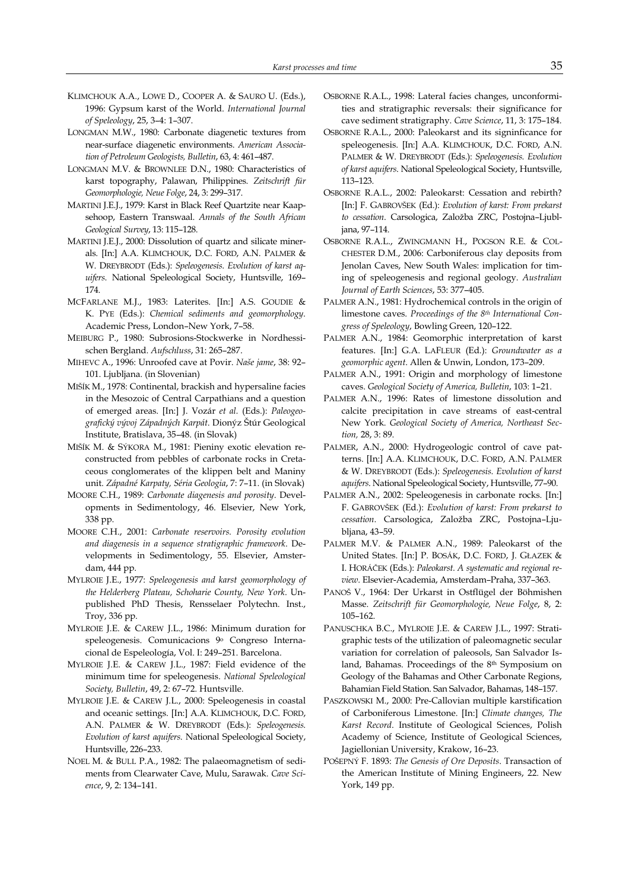- KLIMCHOUK A.A., LOWE D., COOPER A. & SAURO U. (Eds.), 1996: Gypsum karst of the World. International Journal of Speleology, 25, 3–4: 1–307.
- LONGMAN M.W., 1980: Carbonate diagenetic textures from near-surface diagenetic environments. American Association of Petroleum Geologists, Bulletin, 63, 4: 461–487.
- LONGMAN M.V. & BROWNLEE D.N., 1980: Characteristics of karst topography, Palawan, Philippines. Zeitschrift für Geomorphologie, Neue Folge, 24, 3: 299–317.
- MARTINI J.E.J., 1979: Karst in Black Reef Quartzite near Kaapsehoop, Eastern Transwaal. Annals of the South African Geological Survey, 13: 115–128.
- MARTINI J.E.J., 2000: Dissolution of quartz and silicate minerals. [In:] A.A. KLIMCHOUK, D.C. FORD, A.N. PALMER & W. DREYBRODT (Eds.): Speleogenesis. Evolution of karst aquifers. National Speleological Society, Huntsville, 169– 174.
- MCFARLANE M.J., 1983: Laterites. [In:] A.S. GOUDIE & K. PYE (Eds.): Chemical sediments and geomorphology. Academic Press, London–New York, 7–58.
- MEIBURG P., 1980: Subrosions-Stockwerke in Nordhessischen Bergland. Aufschluss, 31: 265–287.
- MIHEVC A., 1996: Unroofed cave at Povir. Naše jame, 38: 92– 101. Ljubljana. (in Slovenian)
- MIŠÍK M., 1978: Continental, brackish and hypersaline facies in the Mesozoic of Central Carpathians and a question of emerged areas. [In:] J. Vozár et al. (Eds.): Paleogeografický vývoj Západných Karpát. Dionýz Štúr Geological Institute, Bratislava, 35–48. (in Slovak)
- MIŠÍK M. & SÝKORA M., 1981: Pieniny exotic elevation reconstructed from pebbles of carbonate rocks in Cretaceous conglomerates of the klippen belt and Maniny unit. Západné Karpaty, Séria Geologia, 7: 7–11. (in Slovak)
- MOORE C.H., 1989: Carbonate diagenesis and porosity. Developments in Sedimentology, 46. Elsevier, New York, 338 pp.
- MOORE C.H., 2001: Carbonate reservoirs. Porosity evolution and diagenesis in a sequence stratigraphic framework. Developments in Sedimentology, 55. Elsevier, Amsterdam, 444 pp.
- MYLROIE J.E., 1977: Speleogenesis and karst geomorphology of the Helderberg Plateau, Schoharie County, New York. Unpublished PhD Thesis, Rensselaer Polytechn. Inst., Troy, 336 pp.
- MYLROIE J.E. & CAREW J.L., 1986: Minimum duration for speleogenesis. Comunicacions <sup>9</sup>º Congreso Internacional de Espeleología, Vol. I: 249–251. Barcelona.
- MYLROIE J.E. & CAREW J.L., 1987: Field evidence of the minimum time for speleogenesis. National Speleological Society, Bulletin, 49, 2: 67–72. Huntsville.
- MYLROIE J.E. & CAREW J.L., 2000: Speleogenesis in coastal and oceanic settings. [In:] A.A. KLIMCHOUK, D.C. FORD, A.N. PALMER & W. DREYBRODT (Eds.): Speleogenesis. Evolution of karst aquifers. National Speleological Society, Huntsville, 226–233.
- NOEL M. & BULL P.A., 1982: The palaeomagnetism of sediments from Clearwater Cave, Mulu, Sarawak. Cave Science, 9, 2: 134–141.
- OSBORNE R.A.L., 1998: Lateral facies changes, unconformities and stratigraphic reversals: their significance for cave sediment stratigraphy. Cave Science, 11, 3: 175–184.
- OSBORNE R.A.L., 2000: Paleokarst and its signinficance for speleogenesis. [In:] A.A. KLIMCHOUK, D.C. FORD, A.N. PALMER & W. DREYBRODT (Eds.): Speleogenesis. Evolution of karst aquifers. National Speleological Society, Huntsville, 113–123.
- OSBORNE R.A.L., 2002: Paleokarst: Cessation and rebirth? [In:] F. GABROVŠEK (Ed.): Evolution of karst: From prekarst to cessation. Carsologica, Založba ZRC, Postojna–Ljubljana, 97–114.
- OSBORNE R.A.L., ZWINGMANN H., POGSON R.E. & COL-CHESTER D.M., 2006: Carboniferous clay deposits from Jenolan Caves, New South Wales: implication for timing of speleogenesis and regional geology. Australian Journal of Earth Sciences, 53: 377–405.
- PALMER A.N., 1981: Hydrochemical controls in the origin of limestone caves. Proceedings of the 8th International Congress of Speleology, Bowling Green, 120–122.
- PALMER A.N., 1984: Geomorphic interpretation of karst features. [In:] G.A. LAFLEUR (Ed.): Groundwater as a geomorphic agent. Allen & Unwin, London, 173–209.
- PALMER A.N., 1991: Origin and morphology of limestone caves. Geological Society of America, Bulletin, 103: 1–21.
- PALMER A.N., 1996: Rates of limestone dissolution and calcite precipitation in cave streams of east-central New York. Geological Society of America, Northeast Section, 28, 3: 89.
- PALMER, A.N., 2000: Hydrogeologic control of cave patterns. [In:] A.A. KLIMCHOUK, D.C. FORD, A.N. PALMER & W. DREYBRODT (Eds.): Speleogenesis. Evolution of karst aquifers. National Speleological Society, Huntsville, 77–90.
- PALMER A.N., 2002: Speleogenesis in carbonate rocks. [In:] F. GABROVŠEK (Ed.): Evolution of karst: From prekarst to cessation. Carsologica, Založba ZRC, Postojna–Ljubljana, 43–59.
- PALMER M.V. & PALMER A.N., 1989: Paleokarst of the United States. [In:] P. BOSÁK, D.C. FORD, J. GŁAZEK & I. HORÁČEK (Eds.): Paleokarst. A systematic and regional review. Elsevier-Academia, Amsterdam–Praha, 337–363.
- PANOŠ V., 1964: Der Urkarst in Ostflügel der Böhmishen Masse. Zeitschrift für Geomorphologie, Neue Folge, 8, 2: 105–162.
- PANUSCHKA B.C., MYLROIE J.E. & CAREW J.L., 1997: Stratigraphic tests of the utilization of paleomagnetic secular variation for correlation of paleosols, San Salvador Island, Bahamas. Proceedings of the 8th Symposium on Geology of the Bahamas and Other Carbonate Regions, Bahamian Field Station. San Salvador, Bahamas, 148–157.
- PASZKOWSKI M., 2000: Pre-Callovian multiple karstification of Carboniferous Limestone. [In:] Climate changes, The Karst Record. Institute of Geological Sciences, Polish Academy of Science, Institute of Geological Sciences, Jagiellonian University, Krakow, 16–23.
- POŠEPNÝ F. 1893: The Genesis of Ore Deposits. Transaction of the American Institute of Mining Engineers, 22. New York, 149 pp.